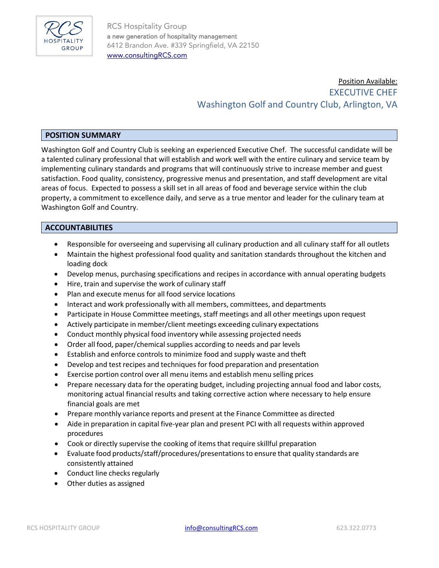

RCS Hospitality Group a new generation of hospitality management 6412 Brandon Ave. #339 Springfield, VA 22150 [www.consultingRCS.com](http://www.consultingrcs.com/)

# Position Available: EXECUTIVE CHEF Washington Golf and Country Club, Arlington, VA

### **POSITION SUMMARY**

Washington Golf and Country Club is seeking an experienced Executive Chef. The successful candidate will be a talented culinary professional that will establish and work well with the entire culinary and service team by implementing culinary standards and programs that will continuously strive to increase member and guest satisfaction. Food quality, consistency, progressive menus and presentation, and staff development are vital areas of focus. Expected to possess a skill set in all areas of food and beverage service within the club property, a commitment to excellence daily, and serve as a true mentor and leader for the culinary team at Washington Golf and Country.

#### **ACCOUNTABILITIES**

- Responsible for overseeing and supervising all culinary production and all culinary staff for all outlets
- Maintain the highest professional food quality and sanitation standards throughout the kitchen and loading dock
- Develop menus, purchasing specifications and recipes in accordance with annual operating budgets
- Hire, train and supervise the work of culinary staff
- Plan and execute menus for all food service locations
- Interact and work professionally with all members, committees, and departments
- Participate in House Committee meetings, staff meetings and all other meetings upon request
- Actively participate in member/client meetings exceeding culinary expectations
- Conduct monthly physical food inventory while assessing projected needs
- Order all food, paper/chemical supplies according to needs and par levels
- Establish and enforce controls to minimize food and supply waste and theft
- Develop and test recipes and techniques for food preparation and presentation
- Exercise portion control over all menu items and establish menu selling prices
- Prepare necessary data for the operating budget, including projecting annual food and labor costs, monitoring actual financial results and taking corrective action where necessary to help ensure financial goals are met
- Prepare monthly variance reports and present at the Finance Committee as directed
- Aide in preparation in capital five-year plan and present PCI with all requests within approved procedures
- Cook or directly supervise the cooking of items that require skillful preparation
- Evaluate food products/staff/procedures/presentations to ensure that quality standards are consistently attained
- Conduct line checks regularly
- Other duties as assigned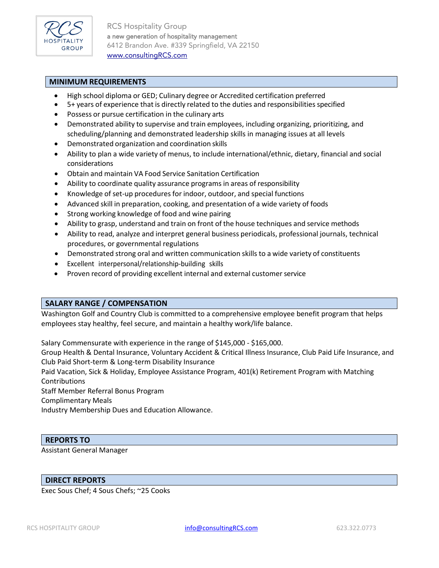

RCS Hospitality Group a new generation of hospitality management 6412 Brandon Ave. #339 Springfield, VA 22150 [www.consultingRCS.com](http://www.consultingrcs.com/)

#### **MINIMUM REQUIREMENTS**

- High school diploma or GED; Culinary degree or Accredited certification preferred
- 5+ years of experience that is directly related to the duties and responsibilities specified
- Possess or pursue certification in the culinary arts
- Demonstrated ability to supervise and train employees, including organizing, prioritizing, and scheduling/planning and demonstrated leadership skills in managing issues at all levels
- Demonstrated organization and coordination skills
- Ability to plan a wide variety of menus, to include international/ethnic, dietary, financial and social considerations
- Obtain and maintain VA Food Service Sanitation Certification
- Ability to coordinate quality assurance programs in areas of responsibility
- Knowledge of set-up procedures for indoor, outdoor, and special functions
- Advanced skill in preparation, cooking, and presentation of a wide variety of foods
- Strong working knowledge of food and wine pairing
- Ability to grasp, understand and train on front of the house techniques and service methods
- Ability to read, analyze and interpret general business periodicals, professional journals, technical procedures, or governmental regulations
- Demonstrated strong oral and written communication skills to a wide variety of constituents
- Excellent interpersonal/relationship-building skills
- Proven record of providing excellent internal and external customer service

## **SALARY RANGE / COMPENSATION**

Washington Golf and Country Club is committed to a comprehensive employee benefit program that helps employees stay healthy, feel secure, and maintain a healthy work/life balance.

Salary Commensurate with experience in the range of \$145,000 - \$165,000.

Group Health & Dental Insurance, Voluntary Accident & Critical Illness Insurance, Club Paid Life Insurance, and Club Paid Short-term & Long-term Disability Insurance

Paid Vacation, Sick & Holiday, Employee Assistance Program, 401(k) Retirement Program with Matching Contributions

Staff Member Referral Bonus Program

Complimentary Meals

Industry Membership Dues and Education Allowance.

#### **REPORTS TO**

Assistant General Manager

#### **DIRECT REPORTS**

Exec Sous Chef; 4 Sous Chefs; ~25 Cooks